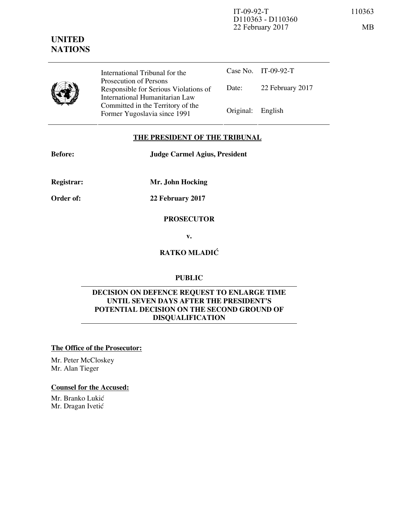

International Tribunal for the Prosecution of Persons Responsible for Serious Violations of International Humanitarian Law Committed in the Territory of the Former Yugoslavia since 1991 Original: English

Case No. IT-09-92-T Date: 22 February 2017

### **THE PRESIDENT OF THE TRIBUNAL**

**Before: Judge Carmel Agius, President** 

**Registrar: Mr. John Hocking** 

**Order of: 22 February 2017** 

#### **PROSECUTOR**

**v.** 

# **RATKO MLADIĆ**

# **PUBLIC**

#### **DECISION ON DEFENCE REQUEST TO ENLARGE TIME UNTIL SEVEN DAYS AFTER THE PRESIDENT'S POTENTIAL DECISION ON THE SECOND GROUND OF DISQUALIFICATION**

### **The Office of the Prosecutor:**

Mr. Peter McCloskey Mr. Alan Tieger

#### **Counsel for the Accused:**

Mr. Branko Lukić Mr. Dragan Ivetić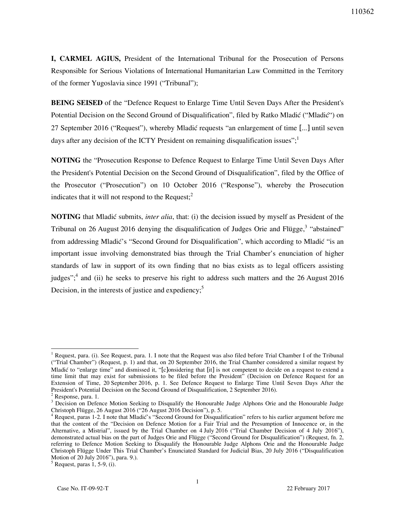**I, CARMEL AGIUS,** President of the International Tribunal for the Prosecution of Persons Responsible for Serious Violations of International Humanitarian Law Committed in the Territory of the former Yugoslavia since 1991 ("Tribunal");

**BEING SEISED** of the "Defence Request to Enlarge Time Until Seven Days After the President's Potential Decision on the Second Ground of Disqualification", filed by Ratko Mladić ("Mladić") on 27 September 2016 ("Request"), whereby Mladić requests "an enlargement of time [...] until seven days after any decision of the ICTY President on remaining disqualification issues":

**NOTING** the "Prosecution Response to Defence Request to Enlarge Time Until Seven Days After the President's Potential Decision on the Second Ground of Disqualification", filed by the Office of the Prosecutor ("Prosecution") on 10 October 2016 ("Response"), whereby the Prosecution indicates that it will not respond to the Request; $^{2}$ 

**NOTING** that Mladić submits, *inter alia*, that: (i) the decision issued by myself as President of the Tribunal on 26 August 2016 denying the disqualification of Judges Orie and Flügge,<sup>3</sup> "abstained" from addressing Mladić's "Second Ground for Disqualification", which according to Mladić "is an important issue involving demonstrated bias through the Trial Chamber's enunciation of higher standards of law in support of its own finding that no bias exists as to legal officers assisting judges";<sup>4</sup> and (ii) he seeks to preserve his right to address such matters and the 26 August 2016 Decision, in the interests of justice and expediency;<sup>5</sup>

 $<sup>5</sup>$  Request, paras 1, 5-9, (i).</sup>

<sup>1&</sup>lt;br><sup>1</sup> Request, para. (i). See Request, para. 1. I note that the Request was also filed before Trial Chamber I of the Tribunal ("Trial Chamber") (Request, p. 1) and that, on 20 September 2016, the Trial Chamber considered a similar request by Mladić to "enlarge time" and dismissed it, "[c]onsidering that [it] is not competent to decide on a request to extend a time limit that may exist for submissions to be filed before the President" (Decision on Defence Request for an Extension of Time, 20 September 2016, p. 1. See Defence Request to Enlarge Time Until Seven Days After the President's Potential Decision on the Second Ground of Disqualification, 2 September 2016).

<sup>&</sup>lt;sup>2</sup> Response, para. 1.

<sup>&</sup>lt;sup>3</sup> Decision on Defence Motion Seeking to Disqualify the Honourable Judge Alphons Orie and the Honourable Judge Christoph Flügge, 26 August 2016 ("26 August 2016 Decision"), p. 5.

<sup>&</sup>lt;sup>4</sup> Request, paras 1-2. I note that Mladić's "Second Ground for Disqualification" refers to his earlier argument before me that the content of the "Decision on Defence Motion for a Fair Trial and the Presumption of Innocence or, in the Alternative, a Mistrial", issued by the Trial Chamber on 4 July 2016 ("Trial Chamber Decision of 4 July 2016"), demonstrated actual bias on the part of Judges Orie and Flügge ("Second Ground for Disqualification") (Request, fn. 2, referring to Defence Motion Seeking to Disqualify the Honourable Judge Alphons Orie and the Honourable Judge Christoph Flügge Under This Trial Chamber's Enunciated Standard for Judicial Bias, 20 July 2016 ("Disqualification Motion of 20 July 2016"), para. 9.).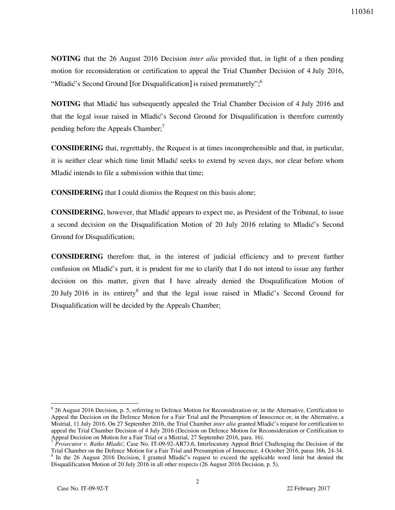**NOTING** that the 26 August 2016 Decision *inter alia* provided that, in light of a then pending motion for reconsideration or certification to appeal the Trial Chamber Decision of 4 July 2016, "Mladić's Second Ground [for Disqualification] is raised prematurely";  $6<sup>o</sup>$ 

**NOTING** that Mladic has subsequently appealed the Trial Chamber Decision of 4 July 2016 and that the legal issue raised in Mladić's Second Ground for Disqualification is therefore currently pending before the Appeals Chamber; $^7$ 

**CONSIDERING** that, regrettably, the Request is at times incomprehensible and that, in particular, it is neither clear which time limit Mladić seeks to extend by seven days, nor clear before whom Mladi} intends to file a submission within that time;

**CONSIDERING** that I could dismiss the Request on this basis alone;

**CONSIDERING**, however, that Mladić appears to expect me, as President of the Tribunal, to issue a second decision on the Disqualification Motion of 20 July 2016 relating to Mladić's Second Ground for Disqualification;

**CONSIDERING** therefore that, in the interest of judicial efficiency and to prevent further confusion on Mladić's part, it is prudent for me to clarify that I do not intend to issue any further decision on this matter, given that I have already denied the Disqualification Motion of 20 July 2016 in its entirety<sup>8</sup> and that the legal issue raised in Mladić's Second Ground for Disqualification will be decided by the Appeals Chamber;

 $\overline{a}$ 

<sup>&</sup>lt;sup>6</sup> 26 August 2016 Decision, p. 5, referring to Defence Motion for Reconsideration or, in the Alternative, Certification to Appeal the Decision on the Defence Motion for a Fair Trial and the Presumption of Innocence or, in the Alternative, a Mistrial, 11 July 2016. On 27 September 2016, the Trial Chamber *inter alia* granted Mladić's request for certification to appeal the Trial Chamber Decision of 4 July 2016 (Decision on Defence Motion for Reconsideration or Certification to Appeal Decision on Motion for a Fair Trial or a Mistrial, 27 September 2016, para. 16).

*Prosecutor v. Ratko Mladić*, Case No. IT-09-92-AR73.6, Interlocutory Appeal Brief Challenging the Decision of the Trial Chamber on the Defence Motion for a Fair Trial and Presumption of Innocence, 4 October 2016, paras 16b, 24-34. <sup>8</sup> In the 26 August 2016 Decision, I granted Mladić's request to exceed the applicable word limit but denied the Disqualification Motion of 20 July 2016 in all other respects (26 August 2016 Decision, p. 5).